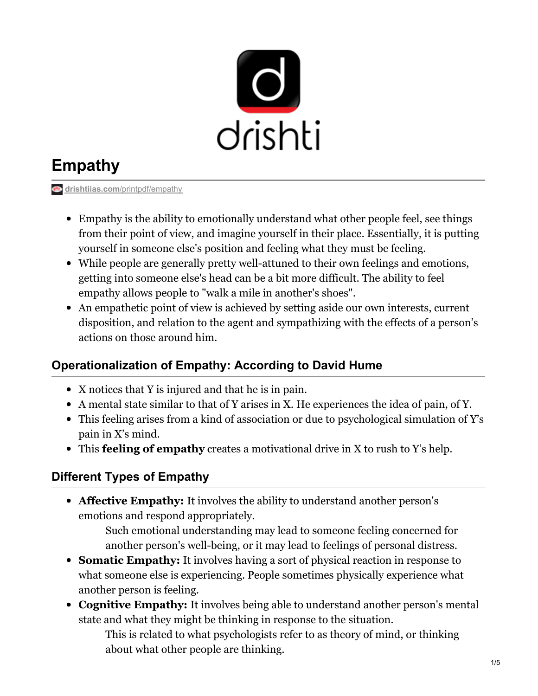

# **Empathy**

**drishtiias.com[/printpdf/empathy](https://www.drishtiias.com/printpdf/empathy)** 

- Empathy is the ability to emotionally understand what other people feel, see things from their point of view, and imagine yourself in their place. Essentially, it is putting yourself in someone else's position and feeling what they must be feeling.
- While people are generally pretty well-attuned to their own feelings and emotions, getting into someone else's head can be a bit more difficult. The ability to feel empathy allows people to "walk a mile in another's shoes".
- An empathetic point of view is achieved by setting aside our own interests, current disposition, and relation to the agent and sympathizing with the effects of a person's actions on those around him.

## **Operationalization of Empathy: According to David Hume**

- X notices that Y is injured and that he is in pain.
- A mental state similar to that of Y arises in X. He experiences the idea of pain, of Y.
- This feeling arises from a kind of association or due to psychological simulation of Y's pain in X's mind.
- This **feeling of empathy** creates a motivational drive in X to rush to Y's help.

### **Different Types of Empathy**

**Affective Empathy:** It involves the ability to understand another person's emotions and respond appropriately.

> Such emotional understanding may lead to someone feeling concerned for another person's well-being, or it may lead to feelings of personal distress.

- **Somatic Empathy:** It involves having a sort of physical reaction in response to what someone else is experiencing. People sometimes physically experience what another person is feeling.
- **Cognitive Empathy:** It involves being able to understand another person's mental state and what they might be thinking in response to the situation.

This is related to what psychologists refer to as theory of mind, or thinking about what other people are thinking.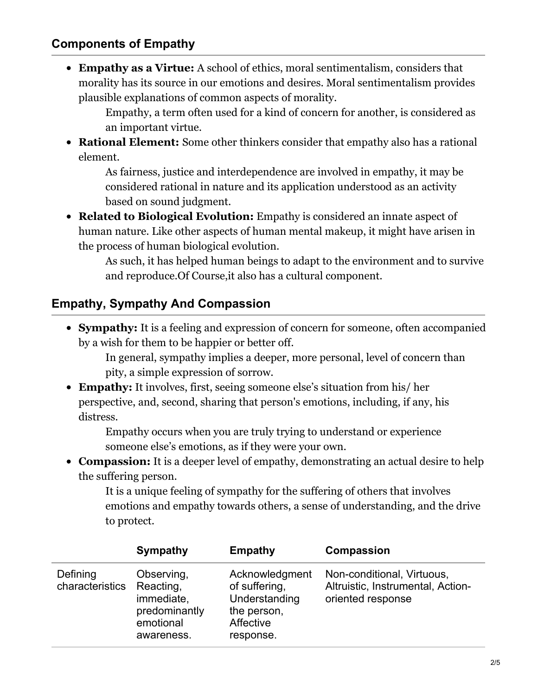#### **Components of Empathy**

**Empathy as a Virtue:** A school of ethics, moral sentimentalism, considers that morality has its source in our emotions and desires. Moral sentimentalism provides plausible explanations of common aspects of morality.

Empathy, a term often used for a kind of concern for another, is considered as an important virtue.

**Rational Element:** Some other thinkers consider that empathy also has a rational element.

As fairness, justice and interdependence are involved in empathy, it may be considered rational in nature and its application understood as an activity based on sound judgment.

**Related to Biological Evolution:** Empathy is considered an innate aspect of human nature. Like other aspects of human mental makeup, it might have arisen in the process of human biological evolution.

As such, it has helped human beings to adapt to the environment and to survive and reproduce.Of Course,it also has a cultural component.

### **Empathy, Sympathy And Compassion**

**Sympathy:** It is a feeling and expression of concern for someone, often accompanied by a wish for them to be happier or better off.

In general, sympathy implies a deeper, more personal, level of concern than pity, a simple expression of sorrow.

**Empathy:** It involves, first, seeing someone else's situation from his/ her perspective, and, second, sharing that person's emotions, including, if any, his distress.

Empathy occurs when you are truly trying to understand or experience someone else's emotions, as if they were your own.

**Compassion:** It is a deeper level of empathy, demonstrating an actual desire to help the suffering person.

It is a unique feeling of sympathy for the suffering of others that involves emotions and empathy towards others, a sense of understanding, and the drive to protect.

|                             | <b>Sympathy</b>                                                                   | <b>Empathy</b>                                                                            | <b>Compassion</b>                                                                    |
|-----------------------------|-----------------------------------------------------------------------------------|-------------------------------------------------------------------------------------------|--------------------------------------------------------------------------------------|
| Defining<br>characteristics | Observing,<br>Reacting,<br>immediate,<br>predominantly<br>emotional<br>awareness. | Acknowledgment<br>of suffering,<br>Understanding<br>the person,<br>Affective<br>response. | Non-conditional, Virtuous,<br>Altruistic, Instrumental, Action-<br>oriented response |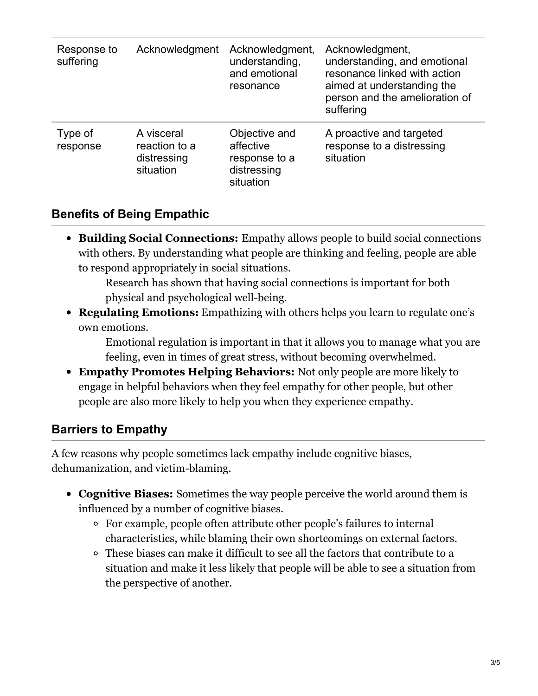| Response to<br>suffering | Acknowledgment                                          | Acknowledgment,<br>understanding,<br>and emotional<br>resonance         | Acknowledgment,<br>understanding, and emotional<br>resonance linked with action<br>aimed at understanding the<br>person and the amelioration of<br>suffering |
|--------------------------|---------------------------------------------------------|-------------------------------------------------------------------------|--------------------------------------------------------------------------------------------------------------------------------------------------------------|
| Type of<br>response      | A visceral<br>reaction to a<br>distressing<br>situation | Objective and<br>affective<br>response to a<br>distressing<br>situation | A proactive and targeted<br>response to a distressing<br>situation                                                                                           |

### **Benefits of Being Empathic**

**Building Social Connections:** Empathy allows people to build social connections with others. By understanding what people are thinking and feeling, people are able to respond appropriately in social situations.

Research has shown that having social connections is important for both physical and psychological well-being.

**Regulating Emotions:** Empathizing with others helps you learn to regulate one's own emotions.

Emotional regulation is important in that it allows you to manage what you are feeling, even in times of great stress, without becoming overwhelmed.

**Empathy Promotes Helping Behaviors:** Not only people are more likely to engage in helpful behaviors when they feel empathy for other people, but other people are also more likely to help you when they experience empathy.

#### **Barriers to Empathy**

A few reasons why people sometimes lack empathy include cognitive biases, dehumanization, and victim-blaming.

- **Cognitive Biases:** Sometimes the way people perceive the world around them is influenced by a number of cognitive biases.
	- For example, people often attribute other people's failures to internal characteristics, while blaming their own shortcomings on external factors.
	- These biases can make it difficult to see all the factors that contribute to a situation and make it less likely that people will be able to see a situation from the perspective of another.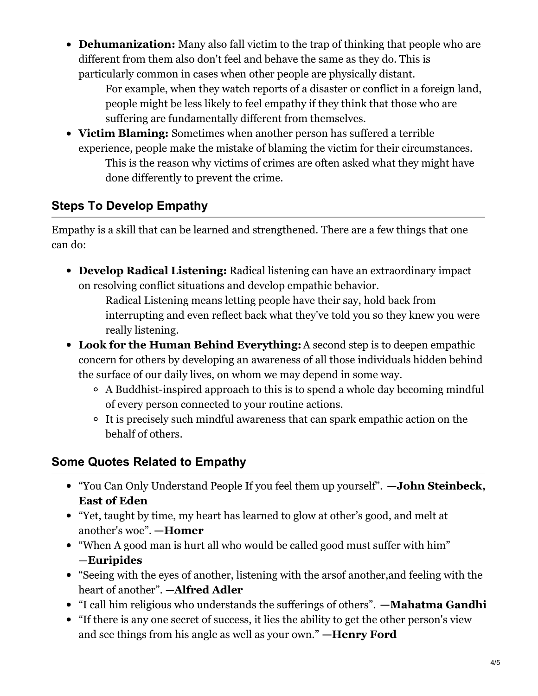**Dehumanization:** Many also fall victim to the trap of thinking that people who are different from them also don't feel and behave the same as they do. This is particularly common in cases when other people are physically distant.

For example, when they watch reports of a disaster or conflict in a foreign land, people might be less likely to feel empathy if they think that those who are suffering are fundamentally different from themselves.

**Victim Blaming:** Sometimes when another person has suffered a terrible experience, people make the mistake of blaming the victim for their circumstances. This is the reason why victims of crimes are often asked what they might have done differently to prevent the crime.

## **Steps To Develop Empathy**

Empathy is a skill that can be learned and strengthened. There are a few things that one can do:

**Develop Radical Listening:** Radical listening can have an extraordinary impact on resolving conflict situations and develop empathic behavior.

Radical Listening means letting people have their say, hold back from interrupting and even reflect back what they've told you so they knew you were really listening.

- **Look for the Human Behind Everything:**A second step is to deepen empathic concern for others by developing an awareness of all those individuals hidden behind the surface of our daily lives, on whom we may depend in some way.
	- A Buddhist-inspired approach to this is to spend a whole day becoming mindful of every person connected to your routine actions.
	- It is precisely such mindful awareness that can spark empathic action on the behalf of others.

## **Some Quotes Related to Empathy**

- "You Can Only Understand People If you feel them up yourself". **—John Steinbeck, East of Eden**
- "Yet, taught by time, my heart has learned to glow at other's good, and melt at another's woe". **—Homer**
- "When A good man is hurt all who would be called good must suffer with him" —**Euripides**
- "Seeing with the eyes of another, listening with the arsof another,and feeling with the heart of another". —**Alfred Adler**
- "I call him religious who understands the sufferings of others". **—Mahatma Gandhi**
- "If there is any one secret of success, it lies the ability to get the other person's view and see things from his angle as well as your own." **—Henry Ford**